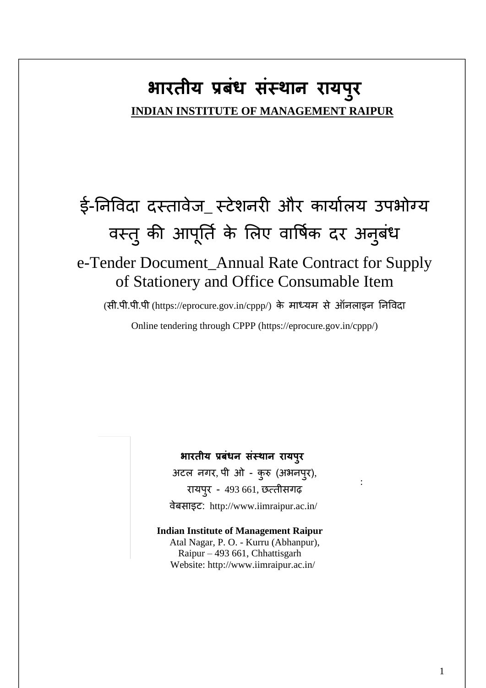# **भारतीय प्रबंध सस्ं थान रायप ुर INDIAN INSTITUTE OF MANAGEMENT RAIPUR**

# ई-निविदा दस्तावेज\_ स्टेशनरी और कार्यालय उपभोग्य वस्तु की आपूर्ति के लिए वार्षिक दर अनुबंध

# e-Tender Document\_Annual Rate Contract for Supply  of Stationery and Office Consumable Item

(सी.पी.पी.पी (https://eprocure.gov.in/cppp/) के माध्र्म से ऑिलाइि निविदा

Online tendering through CPPP (https://eprocure.gov.in/cppp/)

### **भारतीय प्रबंधन संस्थान रायपुर**

 अटल िगर, पी ओ - कुरु (अभिपुर), रार्पुर - 493 661, छत्तीसगढ़ िेबसाइट: http://www.iimraipur.ac.in/

:

 Website:<http://www.iimraipur.ac.in/> **Indian Institute of Management Raipur** Atal Nagar, P. O. - Kurru (Abhanpur), Raipur – 493 661, Chhattisgarh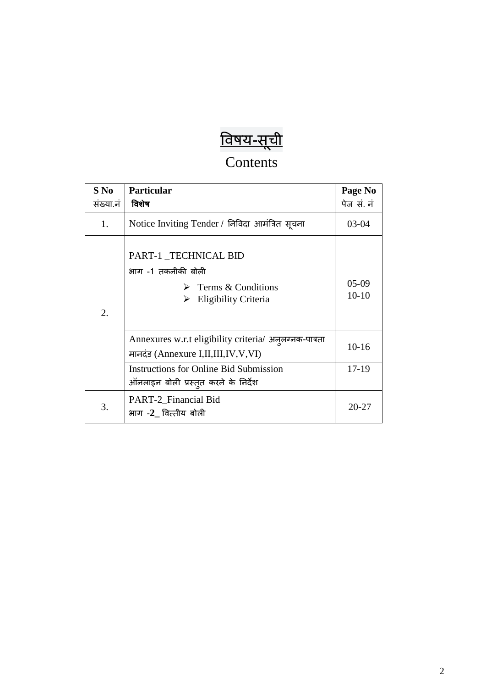# <u>विषय-सूची</u>

# Contents

| $S$ No<br>संख्या.नं | <b>Particular</b><br>विशेष                                                                                     | Page No<br>पेज सं. नं |
|---------------------|----------------------------------------------------------------------------------------------------------------|-----------------------|
| 1.                  | Notice Inviting Tender / निविदा आमंत्रित सूचना                                                                 | $03-04$               |
| 2.                  | PART-1_TECHNICAL BID<br>भाग -1 तकनीकी बोली<br>$\triangleright$ Terms & Conditions<br>Eligibility Criteria<br>➤ | $05-09$<br>$10 - 10$  |
|                     | Annexures w.r.t eligibility criteria/ अनुलग्नक-पात्रता<br>मानदंड (Annexure I,II,III,IV,V,VI)                   | $10-16$               |
|                     | <b>Instructions for Online Bid Submission</b><br>ऑनलाइन बोली प्रस्तुत करने के निर्देश                          | 17-19                 |
| 3.                  | PART-2_Financial Bid<br>भाग -2 वित्तीय बोली                                                                    | $20 - 27$             |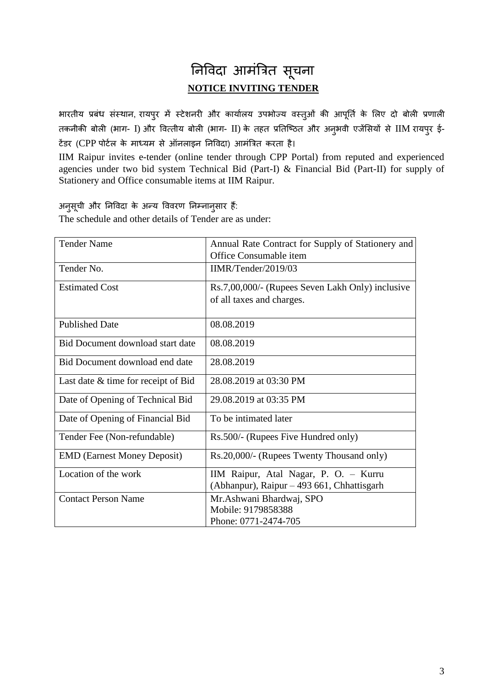# निविदा आमंत्रित सूचना **NOTICE INVITING TENDER**

भारतीय प्रबंध संस्थान, रायपुर में स्टेशनरी और कार्यालय उपभोज्य वस्तुओं की आपूर्ति के लिए दो बोली प्रणाली तकनीकी बोली (भाग- I) और वित्तीय बोली (भाग- II) के तहत प्रतिष्ठित और अन्भवी एजेंसियों से IIM रायपूर ई-टेंडर (CPP पोर्टल के माध्यम से ऑनलाइन निविदा) आमंत्रित करता है।

IIM Raipur invites e-tender (online tender through CPP Portal) from reputed and experienced agencies under two bid system Technical Bid (Part-I) & Financial Bid (Part-II) for supply of Stationery and Office consumable items at IIM Raipur.

अनुसूची और निविदा के अन्य विवरण निम्नानुसार हैं:

The schedule and other details of Tender are as under:

| <b>Tender Name</b>                  | Annual Rate Contract for Supply of Stationery and |
|-------------------------------------|---------------------------------------------------|
|                                     | Office Consumable item                            |
| Tender No.                          | IIMR/Tender/2019/03                               |
| <b>Estimated Cost</b>               | Rs.7,00,000/- (Rupees Seven Lakh Only) inclusive  |
|                                     | of all taxes and charges.                         |
| <b>Published Date</b>               | 08.08.2019                                        |
| Bid Document download start date    | 08.08.2019                                        |
| Bid Document download end date      | 28.08.2019                                        |
| Last date & time for receipt of Bid | 28.08.2019 at 03:30 PM                            |
| Date of Opening of Technical Bid    | 29.08.2019 at 03:35 PM                            |
| Date of Opening of Financial Bid    | To be intimated later                             |
| Tender Fee (Non-refundable)         | Rs.500/- (Rupees Five Hundred only)               |
| <b>EMD</b> (Earnest Money Deposit)  | Rs.20,000/- (Rupees Twenty Thousand only)         |
| Location of the work                | IIM Raipur, Atal Nagar, P. O. - Kurru             |
|                                     | (Abhanpur), Raipur – 493 661, Chhattisgarh        |
| <b>Contact Person Name</b>          | Mr. Ashwani Bhardwaj, SPO                         |
|                                     | Mobile: 9179858388                                |
|                                     | Phone: 0771-2474-705                              |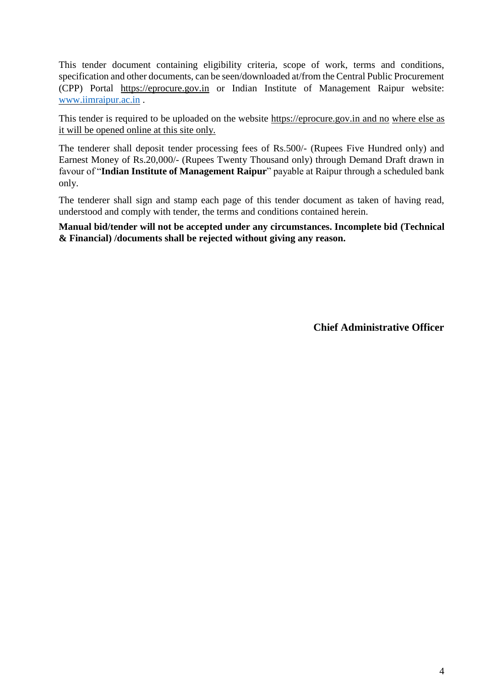This tender document containing eligibility criteria, scope of work, terms and conditions, specification and other documents, can be seen/downloaded at/from the Central Public Procurement (CPP) Portal https://eprocure.gov.in or Indian Institute of Management Raipur website[:](http://www.iimu.ac.in/) [www.iimraipur.ac.in](http://www.iimraipur.ac.in/) .

This tender is required to be uploaded on the website [https://eprocure.gov.in](https://eprocure.gov.in/) and no where else as it will be opened online at this site only.

The tenderer shall deposit tender processing fees of Rs.500/- (Rupees Five Hundred only) and Earnest Money of Rs.20,000/- (Rupees Twenty Thousand only) through Demand Draft drawn in favour of "**Indian Institute of Management Raipur**" payable at Raipur through a scheduled bank only.

The tenderer shall sign and stamp each page of this tender document as taken of having read, understood and comply with tender, the terms and conditions contained herein.

**Manual bid/tender will not be accepted under any circumstances. Incomplete bid (Technical & Financial) /documents shall be rejected without giving any reason.** 

**Chief Administrative Officer**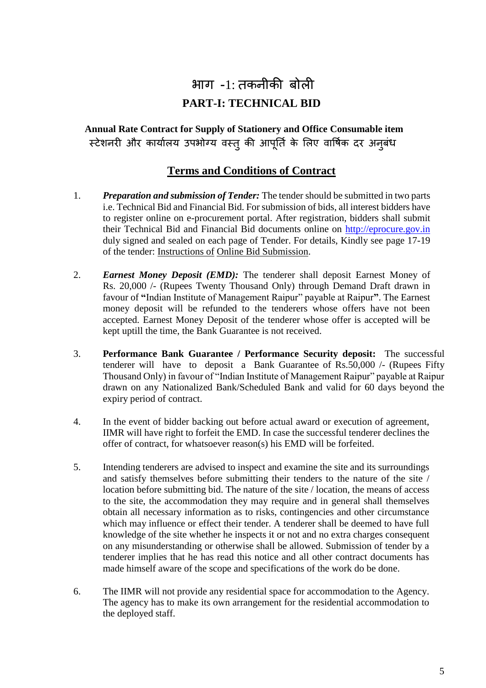# भाग -1: तकिीकी बोली **PART-I: TECHNICAL BID**

**Annual Rate Contract for Supply of Stationery and Office Consumable item**  स्टेशनरी और कार्यालय उपभोग्य वस्तु की आपूर्ति के लिए वार्षिक दर अनूबंध

### **Terms and Conditions of Contract**

- 1. *Preparation and submission of Tender:* The tender should be submitted in two parts i.e. Technical Bid and Financial Bid. For submission of bids, all interest bidders have to register online on e-procurement portal. After registration, bidders shall submit their Technical Bid and Financial Bid documents online on [http://eprocure.gov.in](http://eprocure.gov.in/) duly signed and sealed on each page of Tender. For details, Kindly see page 17-19 of the tender: Instructions of Online Bid Submission.
- 2. *Earnest Money Deposit (EMD):* The tenderer shall deposit Earnest Money of Rs. 20,000 /- (Rupees Twenty Thousand Only) through Demand Draft drawn in favour of **"**Indian Institute of Management Raipur" payable at Raipur**"**. The Earnest money deposit will be refunded to the tenderers whose offers have not been accepted. Earnest Money Deposit of the tenderer whose offer is accepted will be kept uptill the time, the Bank Guarantee is not received.
- 3. **Performance Bank Guarantee / Performance Security deposit:** The successful tenderer will have to deposit a Bank Guarantee of Rs.50,000 /- (Rupees Fifty Thousand Only) in favour of "Indian Institute of Management Raipur" payable at Raipur drawn on any Nationalized Bank/Scheduled Bank and valid for 60 days beyond the expiry period of contract.
- 4. In the event of bidder backing out before actual award or execution of agreement, IIMR will have right to forfeit the EMD. In case the successful tenderer declines the offer of contract, for whatsoever reason(s) his EMD will be forfeited.
- 5. Intending tenderers are advised to inspect and examine the site and its surroundings and satisfy themselves before submitting their tenders to the nature of the site / location before submitting bid. The nature of the site / location, the means of access to the site, the accommodation they may require and in general shall themselves obtain all necessary information as to risks, contingencies and other circumstance which may influence or effect their tender. A tenderer shall be deemed to have full knowledge of the site whether he inspects it or not and no extra charges consequent on any misunderstanding or otherwise shall be allowed. Submission of tender by a tenderer implies that he has read this notice and all other contract documents has made himself aware of the scope and specifications of the work do be done.
- 6. The IIMR will not provide any residential space for accommodation to the Agency. The agency has to make its own arrangement for the residential accommodation to the deployed staff.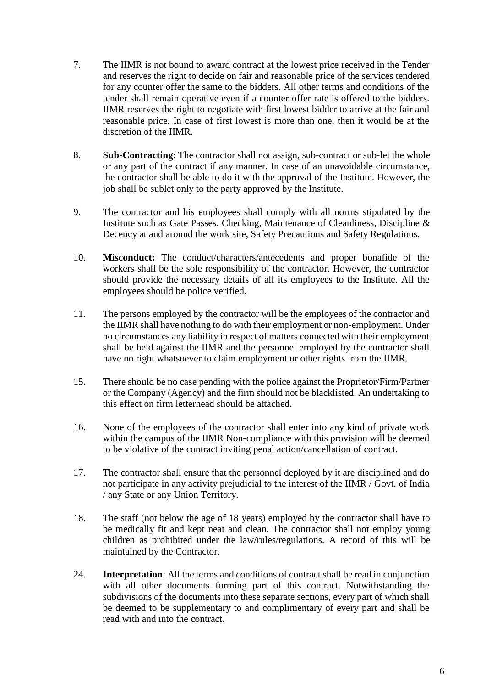- 7. The IIMR is not bound to award contract at the lowest price received in the Tender and reserves the right to decide on fair and reasonable price of the services tendered for any counter offer the same to the bidders. All other terms and conditions of the tender shall remain operative even if a counter offer rate is offered to the bidders. IIMR reserves the right to negotiate with first lowest bidder to arrive at the fair and reasonable price. In case of first lowest is more than one, then it would be at the discretion of the **IIMR**
- 8. **Sub-Contracting**: The contractor shall not assign, sub-contract or sub-let the whole or any part of the contract if any manner. In case of an unavoidable circumstance, the contractor shall be able to do it with the approval of the Institute. However, the job shall be sublet only to the party approved by the Institute.
- 9. The contractor and his employees shall comply with all norms stipulated by the Institute such as Gate Passes, Checking, Maintenance of Cleanliness, Discipline & Decency at and around the work site, Safety Precautions and Safety Regulations.
- 10. **Misconduct:** The conduct/characters/antecedents and proper bonafide of the workers shall be the sole responsibility of the contractor. However, the contractor should provide the necessary details of all its employees to the Institute. All the employees should be police verified.
- 11. The persons employed by the contractor will be the employees of the contractor and the IIMR shall have nothing to do with their employment or non-employment. Under no circumstances any liability in respect of matters connected with their employment shall be held against the IIMR and the personnel employed by the contractor shall have no right whatsoever to claim employment or other rights from the IIMR.
- 15. There should be no case pending with the police against the Proprietor/Firm/Partner or the Company (Agency) and the firm should not be blacklisted. An undertaking to this effect on firm letterhead should be attached.
- 16. None of the employees of the contractor shall enter into any kind of private work within the campus of the IIMR Non-compliance with this provision will be deemed to be violative of the contract inviting penal action/cancellation of contract.
- 17. The contractor shall ensure that the personnel deployed by it are disciplined and do not participate in any activity prejudicial to the interest of the IIMR / Govt. of India / any State or any Union Territory.
- 18. The staff (not below the age of 18 years) employed by the contractor shall have to be medically fit and kept neat and clean. The contractor shall not employ young children as prohibited under the law/rules/regulations. A record of this will be maintained by the Contractor.
- 24. **Interpretation**: All the terms and conditions of contract shall be read in conjunction with all other documents forming part of this contract. Notwithstanding the subdivisions of the documents into these separate sections, every part of which shall be deemed to be supplementary to and complimentary of every part and shall be read with and into the contract.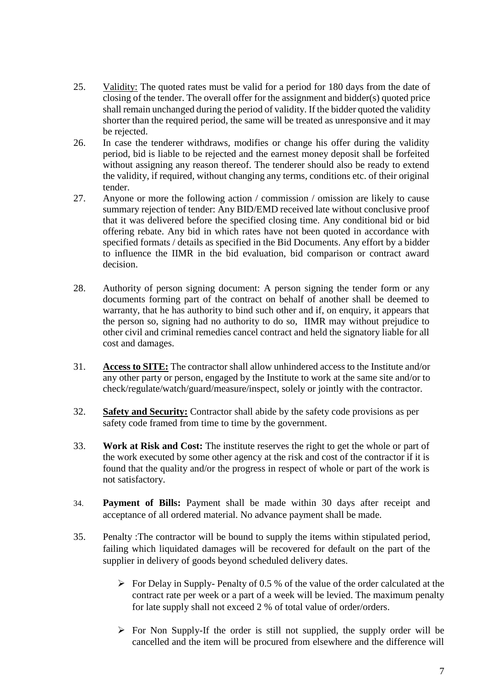- 25. Validity: The quoted rates must be valid for a period for 180 days from the date of closing of the tender. The overall offer for the assignment and bidder(s) quoted price shall remain unchanged during the period of validity. If the bidder quoted the validity shorter than the required period, the same will be treated as unresponsive and it may be rejected.
- 26. In case the tenderer withdraws, modifies or change his offer during the validity period, bid is liable to be rejected and the earnest money deposit shall be forfeited without assigning any reason thereof. The tenderer should also be ready to extend the validity, if required, without changing any terms, conditions etc. of their original tender.
- 27. Anyone or more the following action / commission / omission are likely to cause summary rejection of tender: Any BID/EMD received late without conclusive proof that it was delivered before the specified closing time. Any conditional bid or bid offering rebate. Any bid in which rates have not been quoted in accordance with specified formats / details as specified in the Bid Documents. Any effort by a bidder to influence the IIMR in the bid evaluation, bid comparison or contract award decision.
- 28. Authority of person signing document: A person signing the tender form or any documents forming part of the contract on behalf of another shall be deemed to warranty, that he has authority to bind such other and if, on enquiry, it appears that the person so, signing had no authority to do so, IIMR may without prejudice to other civil and criminal remedies cancel contract and held the signatory liable for all cost and damages.
- 31. **Access to SITE:** The contractor shall allow unhindered access to the Institute and/or any other party or person, engaged by the Institute to work at the same site and/or to check/regulate/watch/guard/measure/inspect, solely or jointly with the contractor.
- 32. **Safety and Security:** Contractor shall abide by the safety code provisions as per safety code framed from time to time by the government.
- 33. **Work at Risk and Cost:** The institute reserves the right to get the whole or part of the work executed by some other agency at the risk and cost of the contractor if it is found that the quality and/or the progress in respect of whole or part of the work is not satisfactory.
- 34. **Payment of Bills:** Payment shall be made within 30 days after receipt and acceptance of all ordered material. No advance payment shall be made.
- 35. Penalty :The contractor will be bound to supply the items within stipulated period, failing which liquidated damages will be recovered for default on the part of the supplier in delivery of goods beyond scheduled delivery dates.
	- $\triangleright$  For Delay in Supply-Penalty of 0.5 % of the value of the order calculated at the contract rate per week or a part of a week will be levied. The maximum penalty for late supply shall not exceed 2 % of total value of order/orders.
	- $\triangleright$  For Non Supply-If the order is still not supplied, the supply order will be cancelled and the item will be procured from elsewhere and the difference will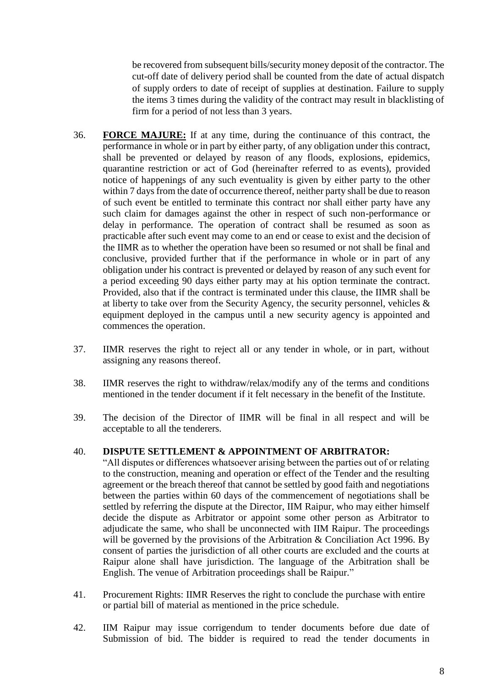be recovered from subsequent bills/security money deposit of the contractor. The cut-off date of delivery period shall be counted from the date of actual dispatch of supply orders to date of receipt of supplies at destination. Failure to supply the items 3 times during the validity of the contract may result in blacklisting of firm for a period of not less than 3 years.

- 36. **FORCE MAJURE:** If at any time, during the continuance of this contract, the performance in whole or in part by either party, of any obligation under this contract, shall be prevented or delayed by reason of any floods, explosions, epidemics, quarantine restriction or act of God (hereinafter referred to as events), provided notice of happenings of any such eventuality is given by either party to the other within 7 days from the date of occurrence thereof, neither party shall be due to reason of such event be entitled to terminate this contract nor shall either party have any such claim for damages against the other in respect of such non-performance or delay in performance. The operation of contract shall be resumed as soon as practicable after such event may come to an end or cease to exist and the decision of the IIMR as to whether the operation have been so resumed or not shall be final and conclusive, provided further that if the performance in whole or in part of any obligation under his contract is prevented or delayed by reason of any such event for a period exceeding 90 days either party may at his option terminate the contract. Provided, also that if the contract is terminated under this clause, the IIMR shall be at liberty to take over from the Security Agency, the security personnel, vehicles & equipment deployed in the campus until a new security agency is appointed and commences the operation.
- 37. IIMR reserves the right to reject all or any tender in whole, or in part, without assigning any reasons thereof.
- 38. IIMR reserves the right to withdraw/relax/modify any of the terms and conditions mentioned in the tender document if it felt necessary in the benefit of the Institute.
- 39. The decision of the Director of IIMR will be final in all respect and will be acceptable to all the tenderers.

#### 40. **DISPUTE SETTLEMENT & APPOINTMENT OF ARBITRATOR:**

- "All disputes or differences whatsoever arising between the parties out of or relating to the construction, meaning and operation or effect of the Tender and the resulting agreement or the breach thereof that cannot be settled by good faith and negotiations between the parties within 60 days of the commencement of negotiations shall be settled by referring the dispute at the Director, IIM Raipur, who may either himself decide the dispute as Arbitrator or appoint some other person as Arbitrator to adjudicate the same, who shall be unconnected with IIM Raipur. The proceedings will be governed by the provisions of the Arbitration & Conciliation Act 1996. By consent of parties the jurisdiction of all other courts are excluded and the courts at Raipur alone shall have jurisdiction. The language of the Arbitration shall be English. The venue of Arbitration proceedings shall be Raipur."
- 41. Procurement Rights: IIMR Reserves the right to conclude the purchase with entire or partial bill of material as mentioned in the price schedule.
- 42. IIM Raipur may issue corrigendum to tender documents before due date of Submission of bid. The bidder is required to read the tender documents in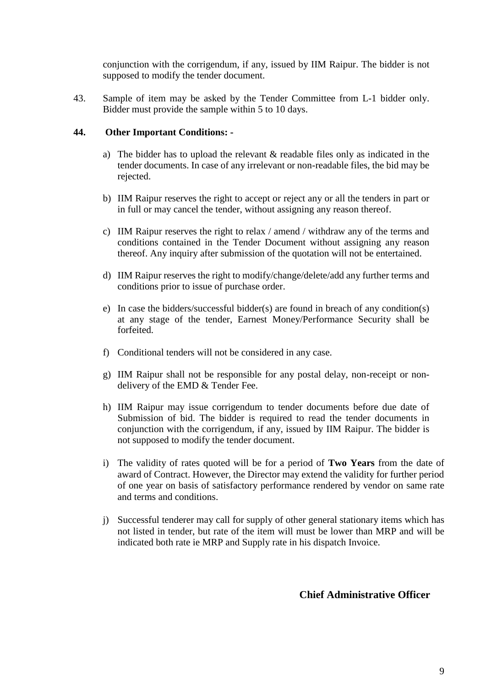conjunction with the corrigendum, if any, issued by IIM Raipur. The bidder is not supposed to modify the tender document.

43. Sample of item may be asked by the Tender Committee from L-1 bidder only. Bidder must provide the sample within 5 to 10 days.

#### **44. Other Important Conditions: -**

- a) The bidder has to upload the relevant & readable files only as indicated in the tender documents. In case of any irrelevant or non-readable files, the bid may be rejected.
- b) IIM Raipur reserves the right to accept or reject any or all the tenders in part or in full or may cancel the tender, without assigning any reason thereof.
- c) IIM Raipur reserves the right to relax / amend / withdraw any of the terms and conditions contained in the Tender Document without assigning any reason thereof. Any inquiry after submission of the quotation will not be entertained.
- d) IIM Raipur reserves the right to modify/change/delete/add any further terms and conditions prior to issue of purchase order.
- e) In case the bidders/successful bidder(s) are found in breach of any condition(s) at any stage of the tender, Earnest Money/Performance Security shall be forfeited.
- f) Conditional tenders will not be considered in any case.
- g) IIM Raipur shall not be responsible for any postal delay, non-receipt or nondelivery of the EMD & Tender Fee.
- h) IIM Raipur may issue corrigendum to tender documents before due date of Submission of bid. The bidder is required to read the tender documents in conjunction with the corrigendum, if any, issued by IIM Raipur. The bidder is not supposed to modify the tender document.
- i) The validity of rates quoted will be for a period of **Two Years** from the date of award of Contract. However, the Director may extend the validity for further period of one year on basis of satisfactory performance rendered by vendor on same rate and terms and conditions.
- j) Successful tenderer may call for supply of other general stationary items which has not listed in tender, but rate of the item will must be lower than MRP and will be indicated both rate ie MRP and Supply rate in his dispatch Invoice.

**Chief Administrative Officer**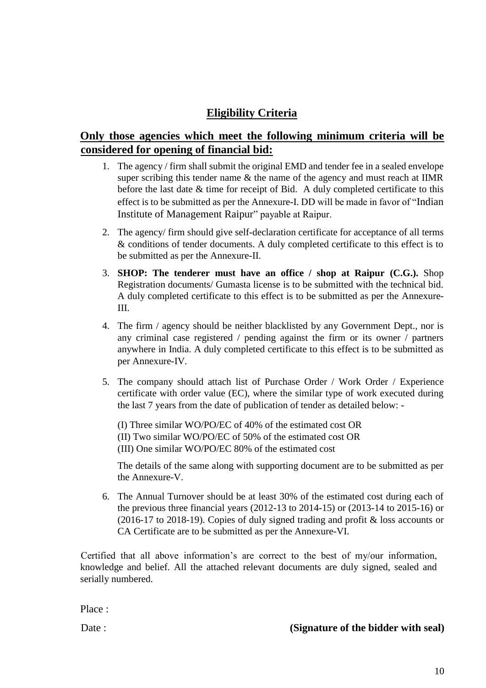# **Eligibility Criteria**

# **Only those agencies which meet the following minimum criteria will be considered for opening of financial bid:**

- 1. The agency / firm shall submit the original EMD and tender fee in a sealed envelope super scribing this tender name & the name of the agency and must reach at IIMR before the last date & time for receipt of Bid. A duly completed certificate to this effect is to be submitted as per the Annexure-I. DD will be made in favor of "Indian Institute of Management Raipur" payable at Raipur.
- 2. The agency/ firm should give self-declaration certificate for acceptance of all terms & conditions of tender documents. A duly completed certificate to this effect is to be submitted as per the Annexure-II.
- 3. **SHOP: The tenderer must have an office / shop at Raipur (C.G.).** Shop Registration documents/ Gumasta license is to be submitted with the technical bid. A duly completed certificate to this effect is to be submitted as per the Annexure-III.
- 4. The firm / agency should be neither blacklisted by any Government Dept., nor is any criminal case registered / pending against the firm or its owner / partners anywhere in India. A duly completed certificate to this effect is to be submitted as per Annexure-IV.
- 5. The company should attach list of Purchase Order / Work Order / Experience certificate with order value (EC), where the similar type of work executed during the last 7 years from the date of publication of tender as detailed below: -

(I) Three similar WO/PO/EC of 40% of the estimated cost OR (II) Two similar WO/PO/EC of 50% of the estimated cost OR (III) One similar WO/PO/EC 80% of the estimated cost

The details of the same along with supporting document are to be submitted as per the Annexure-V.

6. The Annual Turnover should be at least 30% of the estimated cost during each of the previous three financial years (2012-13 to 2014-15) or (2013-14 to 2015-16) or (2016-17 to 2018-19). Copies of duly signed trading and profit & loss accounts or CA Certificate are to be submitted as per the Annexure-VI.

Certified that all above information's are correct to the best of my/our information, knowledge and belief. All the attached relevant documents are duly signed, sealed and serially numbered.

Place :

#### Date : *CONDREGIST:* **CONDREGIST: CONDREGIST: CONDREGIST: CONDREGIST: CONDREGIST: CONDREGIST: CONDREGIST: CONDREGIST: CONDREGIST: CONDREGIST: CONDREGIST: CONDREGIST: CONDREGIST: CONDREGIST: CO**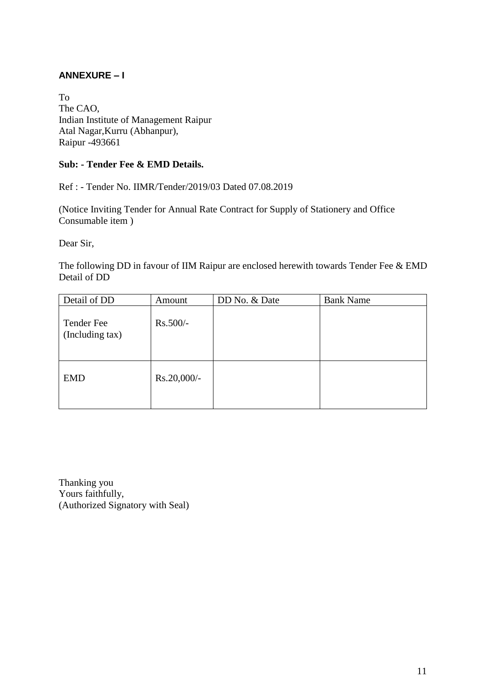#### **ANNEXURE – I**

To The CAO, Indian Institute of Management Raipur Atal Nagar,Kurru (Abhanpur), Raipur -493661

#### **Sub: - Tender Fee & EMD Details.**

Ref : - Tender No. IIMR/Tender/2019/03 Dated 07.08.2019

(Notice Inviting Tender for Annual Rate Contract for Supply of Stationery and Office Consumable item )

Dear Sir,

The following DD in favour of IIM Raipur are enclosed herewith towards Tender Fee & EMD Detail of DD

| Detail of DD                  | Amount      | DD No. & Date | <b>Bank Name</b> |
|-------------------------------|-------------|---------------|------------------|
| Tender Fee<br>(Including tax) | $Rs.500/-$  |               |                  |
| <b>EMD</b>                    | Rs.20,000/- |               |                  |

Thanking you Yours faithfully, (Authorized Signatory with Seal)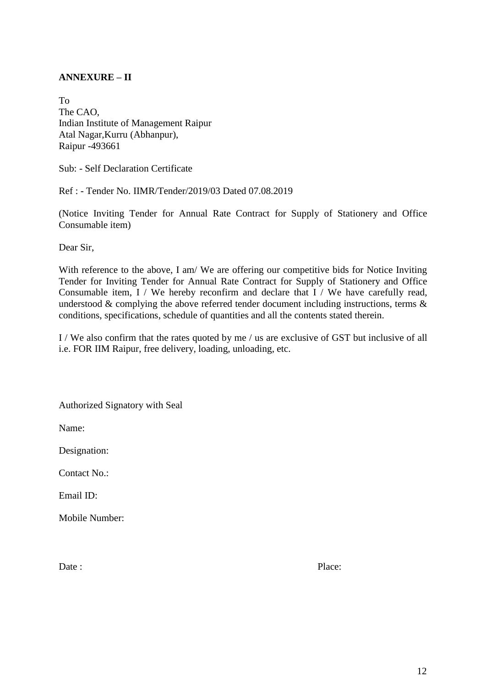#### **ANNEXURE – II**

To The CAO, Indian Institute of Management Raipur Atal Nagar,Kurru (Abhanpur), Raipur -493661

Sub: - Self Declaration Certificate

Ref : - Tender No. IIMR/Tender/2019/03 Dated 07.08.2019

(Notice Inviting Tender for Annual Rate Contract for Supply of Stationery and Office Consumable item)

Dear Sir,

With reference to the above, I am/ We are offering our competitive bids for Notice Inviting Tender for Inviting Tender for Annual Rate Contract for Supply of Stationery and Office Consumable item, I / We hereby reconfirm and declare that I / We have carefully read, understood  $\&$  complying the above referred tender document including instructions, terms  $\&$ conditions, specifications, schedule of quantities and all the contents stated therein.

I / We also confirm that the rates quoted by me / us are exclusive of GST but inclusive of all i.e. FOR IIM Raipur, free delivery, loading, unloading, etc.

Authorized Signatory with Seal

Name:

Designation:

Contact No.:

Email ID:

Mobile Number:

Date : Place: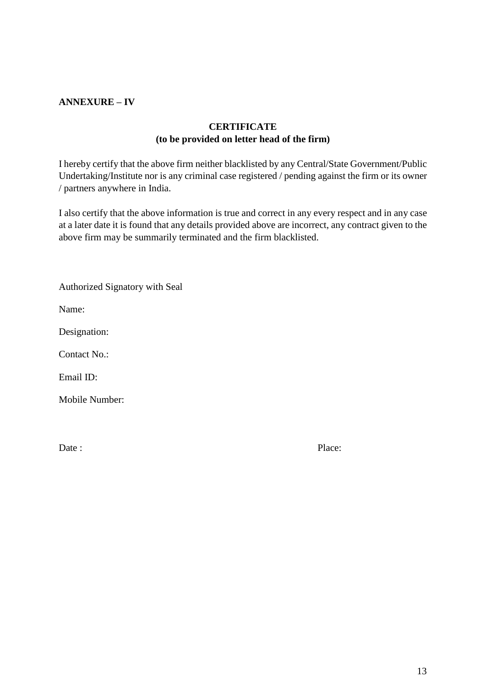#### **ANNEXURE – IV**

#### **CERTIFICATE (to be provided on letter head of the firm)**

I hereby certify that the above firm neither blacklisted by any Central/State Government/Public Undertaking/Institute nor is any criminal case registered / pending against the firm or its owner / partners anywhere in India.

I also certify that the above information is true and correct in any every respect and in any case at a later date it is found that any details provided above are incorrect, any contract given to the above firm may be summarily terminated and the firm blacklisted.

| Authorized Signatory with Seal |  |  |
|--------------------------------|--|--|
|                                |  |  |

Name:

Designation:

Contact No.:

Email ID:

Mobile Number:

Date : Place: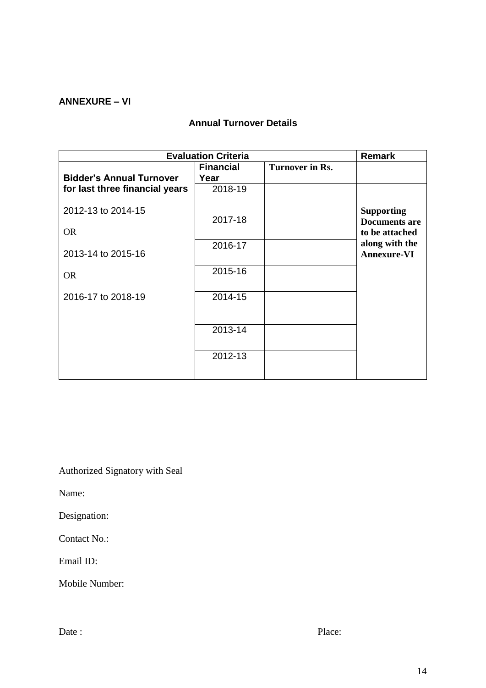#### **ANNEXURE – VI**

# **Annual Turnover Details**

| <b>Evaluation Criteria</b>      |                  |                        | <b>Remark</b>                        |
|---------------------------------|------------------|------------------------|--------------------------------------|
|                                 | <b>Financial</b> | <b>Turnover in Rs.</b> |                                      |
| <b>Bidder's Annual Turnover</b> | Year             |                        |                                      |
| for last three financial years  | 2018-19          |                        |                                      |
| 2012-13 to 2014-15              |                  |                        | <b>Supporting</b>                    |
|                                 | 2017-18          |                        | <b>Documents are</b>                 |
| <b>OR</b>                       |                  |                        | to be attached                       |
| 2013-14 to 2015-16              | 2016-17          |                        | along with the<br><b>Annexure-VI</b> |
| <b>OR</b>                       | 2015-16          |                        |                                      |
| 2016-17 to 2018-19              | 2014-15          |                        |                                      |
|                                 |                  |                        |                                      |
|                                 | 2013-14          |                        |                                      |
|                                 | 2012-13          |                        |                                      |
|                                 |                  |                        |                                      |

Authorized Signatory with Seal

Name:

Designation:

Contact No.:

Email ID:

Mobile Number: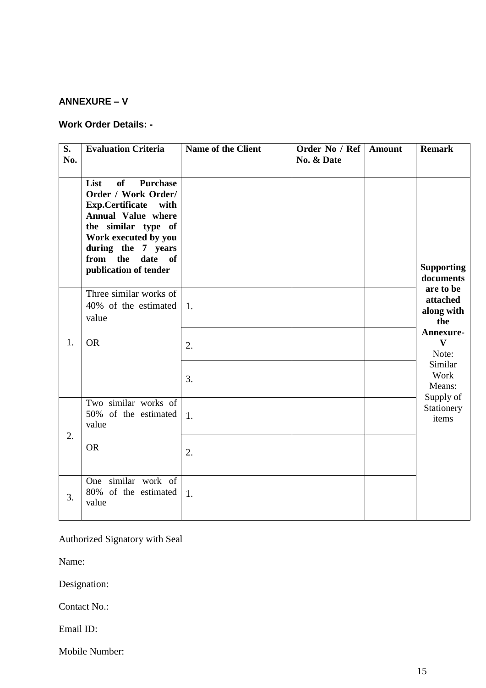#### **ANNEXURE – V**

#### **Work Order Details: -**

| S.<br>No. | <b>Evaluation Criteria</b>                                                                                                                                                                                                            | <b>Name of the Client</b> | Order No / Ref<br>No. & Date | <b>Amount</b> | <b>Remark</b>                              |
|-----------|---------------------------------------------------------------------------------------------------------------------------------------------------------------------------------------------------------------------------------------|---------------------------|------------------------------|---------------|--------------------------------------------|
|           | <b>of</b><br><b>Purchase</b><br>List<br>Order / Work Order/<br>Exp.Certificate with<br><b>Annual Value where</b><br>the similar type of<br>Work executed by you<br>during the 7 years<br>from the<br>date of<br>publication of tender |                           |                              |               | <b>Supporting</b><br>documents             |
|           | Three similar works of<br>40% of the estimated<br>value                                                                                                                                                                               | 1.                        |                              |               | are to be<br>attached<br>along with<br>the |
| 1.        | <b>OR</b>                                                                                                                                                                                                                             | 2.                        |                              |               | Annexure-<br>$\mathbf{V}$<br>Note:         |
|           |                                                                                                                                                                                                                                       | 3.                        |                              |               | Similar<br>Work<br>Means:                  |
|           | Two similar works of<br>50% of the estimated<br>value                                                                                                                                                                                 | 1.                        |                              |               | Supply of<br>Stationery<br>items           |
| 2.        | <b>OR</b>                                                                                                                                                                                                                             | 2.                        |                              |               |                                            |
| 3.        | One similar work of<br>80% of the estimated<br>value                                                                                                                                                                                  | 1.                        |                              |               |                                            |

Authorized Signatory with Seal

Name:

Designation:

Contact No.:

Email ID:

Mobile Number: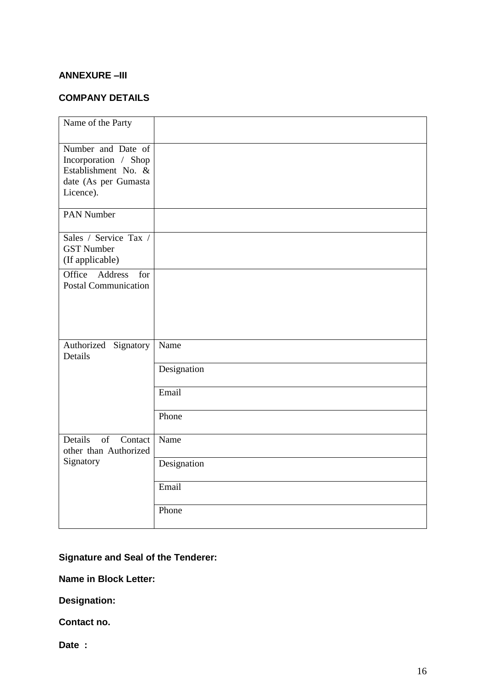#### **ANNEXURE –III**

### **COMPANY DETAILS**

| Name of the Party                                                                                      |             |
|--------------------------------------------------------------------------------------------------------|-------------|
| Number and Date of<br>Incorporation / Shop<br>Establishment No. &<br>date (As per Gumasta<br>Licence). |             |
| <b>PAN Number</b>                                                                                      |             |
| Sales / Service Tax /<br><b>GST Number</b><br>(If applicable)                                          |             |
| Office<br>Address<br>for<br><b>Postal Communication</b>                                                |             |
| Authorized Signatory<br>Details                                                                        | Name        |
|                                                                                                        | Designation |
|                                                                                                        | Email       |
|                                                                                                        | Phone       |
| Details<br>of<br>Contact<br>other than Authorized                                                      | Name        |
| Signatory                                                                                              | Designation |
|                                                                                                        | Email       |
|                                                                                                        | Phone       |

### **Signature and Seal of the Tenderer:**

**Name in Block Letter:** 

**Designation:** 

**Contact no.** 

**Date :**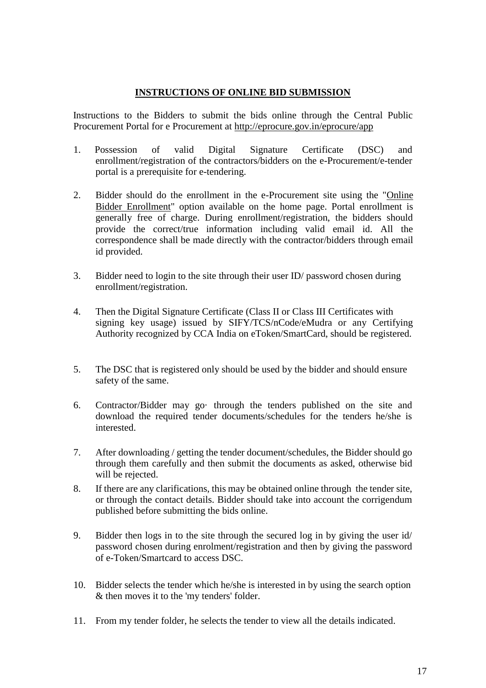#### **INSTRUCTIONS OF ONLINE BID SUBMISSION**

 Instructions to the Bidders to submit the bids online through the Central Public Procurement Portal for e Procurement at<http://eprocure.gov.in/eprocure/app>

- 1. Possession of valid Digital Signature Certificate (DSC) and enrollment/registration of the contractors/bidders on the e-Procurement/e-tender portal is a prerequisite for e-tendering.
- 2. Bidder should do the enrollment in the e-Procurement site using the "Online Bidder Enrollment" option available on the home page. Portal enrollment is generally free of charge. During enrollment/registration, the bidders should provide the correct/true information including valid email id. All the correspondence shall be made directly with the contractor/bidders through email id provided.
- 3. Bidder need to login to the site through their user ID/ password chosen during enrollment/registration.
- 4. Then the Digital Signature Certificate (Class II or Class III Certificates with signing key usage) issued by SIFY/TCS/nCode/eMudra or any Certifying Authority recognized by CCA India on eToken/SmartCard, should be registered.
- 5. The DSC that is registered only should be used by the bidder and should ensure safety of the same.
- 6. Contractor/Bidder may go· through the tenders published on the site and download the required tender documents/schedules for the tenders he/she is interested.
- 7. After downloading / getting the tender document/schedules, the Bidder should go through them carefully and then submit the documents as asked, otherwise bid will be rejected.
- 8. If there are any clarifications, this may be obtained online through the tender site, or through the contact details. Bidder should take into account the corrigendum published before submitting the bids online.
- 9. Bidder then logs in to the site through the secured log in by giving the user id/ password chosen during enrolment/registration and then by giving the password of e-Token/Smartcard to access DSC.
- 10. Bidder selects the tender which he/she is interested in by using the search option & then moves it to the 'my tenders' folder.
- 11. From my tender folder, he selects the tender to view all the details indicated.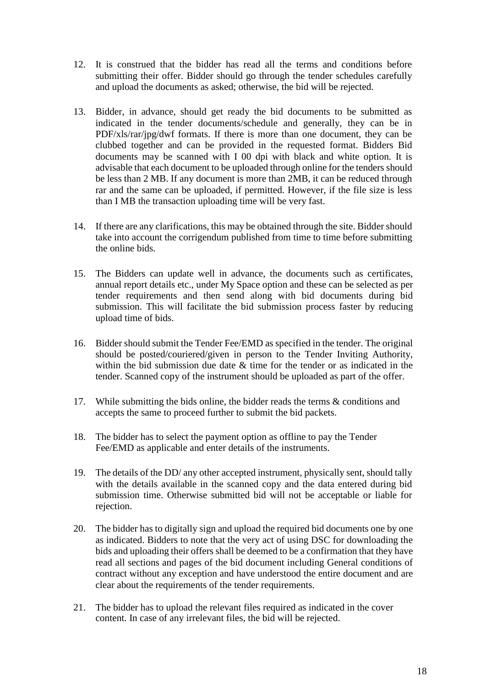- 12. It is construed that the bidder has read all the terms and conditions before submitting their offer. Bidder should go through the tender schedules carefully and upload the documents as asked; otherwise, the bid will be rejected.
- 13. Bidder, in advance, should get ready the bid documents to be submitted as indicated in the tender documents/schedule and generally, they can be in PDF/xls/rar/jpg/dwf formats. If there is more than one document, they can be clubbed together and can be provided in the requested format. Bidders Bid documents may be scanned with I 00 dpi with black and white option. It is advisable that each document to be uploaded through online for the tenders should be less than 2 MB. If any document is more than 2MB, it can be reduced through rar and the same can be uploaded, if permitted. However, if the file size is less than I MB the transaction uploading time will be very fast.
- 14. If there are any clarifications, this may be obtained through the site. Bidder should take into account the corrigendum published from time to time before submitting the online bids.
- 15. The Bidders can update well in advance, the documents such as certificates, annual report details etc., under My Space option and these can be selected as per tender requirements and then send along with bid documents during bid submission. This will facilitate the bid submission process faster by reducing upload time of bids.
- 16. Bidder should submit the Tender Fee/EMD as specified in the tender. The original should be posted/couriered/given in person to the Tender Inviting Authority, within the bid submission due date & time for the tender or as indicated in the tender. Scanned copy of the instrument should be uploaded as part of the offer.
- 17. While submitting the bids online, the bidder reads the terms & conditions and accepts the same to proceed further to submit the bid packets.
- 18. The bidder has to select the payment option as offline to pay the Tender Fee/EMD as applicable and enter details of the instruments.
- 19. The details of the DD/ any other accepted instrument, physically sent, should tally with the details available in the scanned copy and the data entered during bid submission time. Otherwise submitted bid will not be acceptable or liable for rejection.
- 20. The bidder has to digitally sign and upload the required bid documents one by one as indicated. Bidders to note that the very act of using DSC for downloading the bids and uploading their offers shall be deemed to be a confirmation that they have read all sections and pages of the bid document including General conditions of contract without any exception and have understood the entire document and are clear about the requirements of the tender requirements.
- 21. The bidder has to upload the relevant files required as indicated in the cover content. In case of any irrelevant files, the bid will be rejected.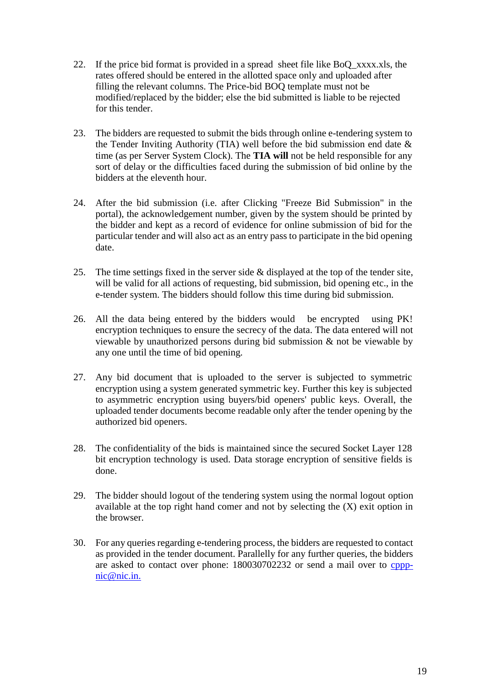- 22. If the price bid format is provided in a spread sheet file like BoQ\_xxxx.xls, the rates offered should be entered in the allotted space only and uploaded after filling the relevant columns. The Price-bid BOQ template must not be modified/replaced by the bidder; else the bid submitted is liable to be rejected for this tender.
- 23. The bidders are requested to submit the bids through online e-tendering system to the Tender Inviting Authority (TIA) well before the bid submission end date & time (as per Server System Clock). The **TIA will** not be held responsible for any sort of delay or the difficulties faced during the submission of bid online by the bidders at the eleventh hour.
- 24. After the bid submission (i.e. after Clicking "Freeze Bid Submission" in the portal), the acknowledgement number, given by the system should be printed by the bidder and kept as a record of evidence for online submission of bid for the particular tender and will also act as an entry pass to participate in the bid opening date.
- 25. The time settings fixed in the server side & displayed at the top of the tender site, will be valid for all actions of requesting, bid submission, bid opening etc., in the e-tender system. The bidders should follow this time during bid submission.
- 26. All the data being entered by the bidders would be encrypted using PK! encryption techniques to ensure the secrecy of the data. The data entered will not viewable by unauthorized persons during bid submission & not be viewable by any one until the time of bid opening.
- 27. Any bid document that is uploaded to the server is subjected to symmetric encryption using a system generated symmetric key. Further this key is subjected to asymmetric encryption using buyers/bid openers' public keys. Overall, the uploaded tender documents become readable only after the tender opening by the authorized bid openers.
- 28. The confidentiality of the bids is maintained since the secured Socket Layer 128 bit encryption technology is used. Data storage encryption of sensitive fields is done.
- 29. The bidder should logout of the tendering system using the normal logout option available at the top right hand comer and not by selecting the (X) exit option in the browser.
- 30. For any queries regarding e-tendering process, the bidders are requested to contact as provided in the tender document. Parallelly for any further queries, the bidders are asked to contact over phone: 180030702232 or send a mail over to [cppp](mailto:cppp-nic@nic.in.)[nic@nic.in.](mailto:cppp-nic@nic.in.)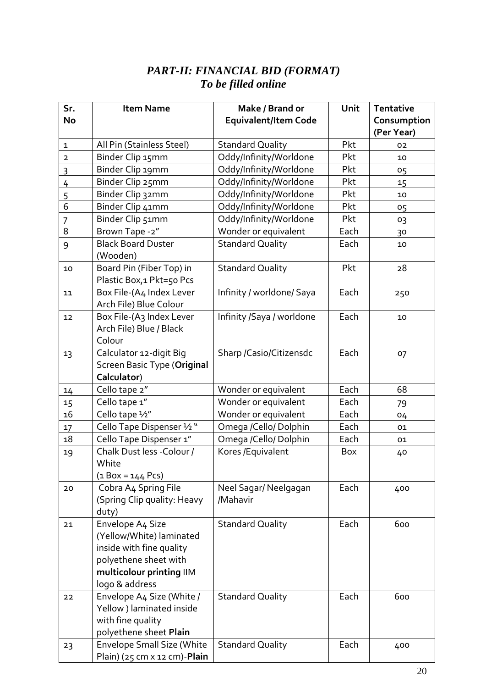### *PART-II: FINANCIAL BID (FORMAT) To be filled online*

| Sr.            | <b>Item Name</b>                                      | Make / Brand or             | Unit | <b>Tentative</b> |
|----------------|-------------------------------------------------------|-----------------------------|------|------------------|
| <b>No</b>      |                                                       | <b>Equivalent/Item Code</b> |      | Consumption      |
|                |                                                       |                             |      | (Per Year)       |
| $\mathbf{1}$   | All Pin (Stainless Steel)                             | <b>Standard Quality</b>     | Pkt  | 02               |
| $\overline{2}$ | Binder Clip 15mm                                      | Oddy/Infinity/Worldone      | Pkt  | 10               |
| 3              | Binder Clip 19mm                                      | Oddy/Infinity/Worldone      | Pkt  | 05               |
| $\frac{4}{1}$  | Binder Clip 25mm                                      | Oddy/Infinity/Worldone      | Pkt  | 15               |
| $\overline{5}$ | Binder Clip 32mm                                      | Oddy/Infinity/Worldone      | Pkt  | 10               |
| 6              | Binder Clip 41mm                                      | Oddy/Infinity/Worldone      | Pkt  | 05               |
| 7              | Binder Clip 51mm                                      | Oddy/Infinity/Worldone      | Pkt  | 03               |
| 8              | Brown Tape -2"                                        | Wonder or equivalent        | Each | 30               |
| 9              | <b>Black Board Duster</b>                             | <b>Standard Quality</b>     | Each | 10               |
|                | (Wooden)                                              |                             |      |                  |
| 10             | Board Pin (Fiber Top) in                              | <b>Standard Quality</b>     | Pkt  | 28               |
|                | Plastic Box, 1 Pkt=50 Pcs                             |                             |      |                  |
| 11             | Box File-(A4 Index Lever                              | Infinity / worldone/ Saya   | Each | 250              |
|                | Arch File) Blue Colour                                |                             |      |                  |
| 12             | Box File-(A3 Index Lever                              | Infinity /Saya / worldone   | Each | 10               |
|                | Arch File) Blue / Black                               |                             |      |                  |
|                | Colour                                                |                             |      |                  |
| 13             | Calculator 12-digit Big                               | Sharp / Casio/Citizensdc    | Each | 07               |
|                | <b>Screen Basic Type (Original</b>                    |                             |      |                  |
|                | Calculator)                                           |                             |      |                  |
| 14             | Cello tape 2"                                         | Wonder or equivalent        | Each | 68               |
| 15             | Cello tape 1"                                         | Wonder or equivalent        | Each | 79               |
| 16             | Cello tape 1/2"                                       | Wonder or equivalent        | Each | 04               |
| 17             | Cello Tape Dispenser 1/2 "                            | Omega /Cello/Dolphin        | Each | 01               |
| 18             | Cello Tape Dispenser 1"                               | Omega /Cello/ Dolphin       | Each | 01               |
| 19             | Chalk Dust less - Colour /                            | Kores / Equivalent          | Box  | 40               |
|                | White                                                 |                             |      |                  |
|                | $(1$ Box = 144 Pcs)                                   |                             |      |                  |
| 20             | Cobra A4 Spring File                                  | Neel Sagar/ Neelgagan       | Each | 400              |
|                | (Spring Clip quality: Heavy                           | /Mahavir                    |      |                  |
|                | duty)                                                 |                             |      |                  |
| 21             | Envelope A4 Size                                      | <b>Standard Quality</b>     | Each | 600              |
|                | (Yellow/White) laminated                              |                             |      |                  |
|                | inside with fine quality                              |                             |      |                  |
|                | polyethene sheet with                                 |                             |      |                  |
|                | multicolour printing IIM                              |                             |      |                  |
|                | logo & address<br>Envelope A4 Size (White /           | <b>Standard Quality</b>     | Each | 600              |
| 22             | Yellow ) laminated inside                             |                             |      |                  |
|                | with fine quality                                     |                             |      |                  |
|                | polyethene sheet Plain                                |                             |      |                  |
| 23             | <b>Envelope Small Size (White</b>                     | <b>Standard Quality</b>     | Each | 400              |
|                | Plain) ( $25 \text{ cm} \times 12 \text{ cm}$ )-Plain |                             |      |                  |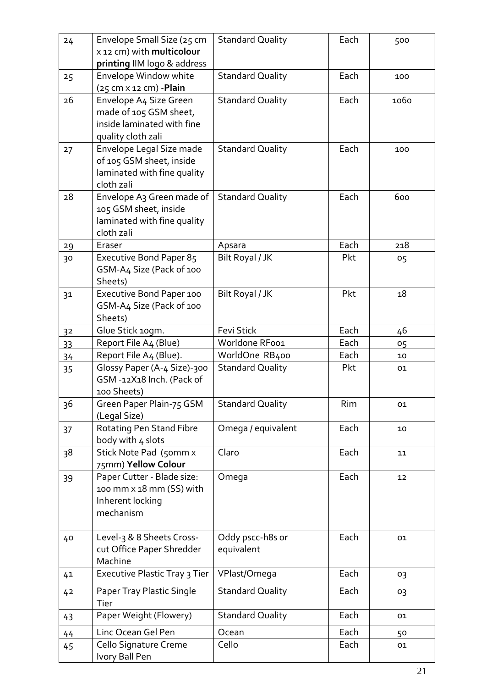| 24             | Envelope Small Size (25 cm                    | <b>Standard Quality</b> | Each | 500  |
|----------------|-----------------------------------------------|-------------------------|------|------|
|                | x 12 cm) with multicolour                     |                         |      |      |
|                | printing IIM logo & address                   |                         |      |      |
|                |                                               |                         | Each |      |
| 25             | Envelope Window white                         | <b>Standard Quality</b> |      | 100  |
|                | $(25 \text{ cm} \times 12 \text{ cm})$ -Plain |                         |      |      |
| 26             | Envelope A4 Size Green                        | <b>Standard Quality</b> | Each | 1060 |
|                | made of 105 GSM sheet,                        |                         |      |      |
|                | inside laminated with fine                    |                         |      |      |
|                | quality cloth zali                            |                         |      |      |
| 27             | Envelope Legal Size made                      | <b>Standard Quality</b> | Each | 100  |
|                | of 105 GSM sheet, inside                      |                         |      |      |
|                | laminated with fine quality                   |                         |      |      |
|                | cloth zali                                    |                         |      |      |
| 28             | Envelope A3 Green made of                     | <b>Standard Quality</b> | Each | 600  |
|                | 105 GSM sheet, inside                         |                         |      |      |
|                | laminated with fine quality                   |                         |      |      |
|                | cloth zali                                    |                         |      |      |
| 29             | Eraser                                        | Apsara                  | Each | 218  |
| 30             | Executive Bond Paper 85                       | Bilt Royal / JK         | Pkt  | 05   |
|                | GSM-A4 Size (Pack of 100                      |                         |      |      |
|                | Sheets)                                       |                         |      |      |
|                |                                               |                         |      |      |
| 3 <sup>1</sup> | Executive Bond Paper 100                      | Bilt Royal / JK         | Pkt  | 18   |
|                | GSM-A4 Size (Pack of 100                      |                         |      |      |
|                | Sheets)                                       |                         |      |      |
| 32             | Glue Stick 10gm.                              | <b>Fevi Stick</b>       | Each | 46   |
| 33             | Report File A4 (Blue)                         | Worldone RFoo1          | Each | 05   |
| 34             | Report File A4 (Blue).                        | WorldOne RB400          | Each | 10   |
| 35             | Glossy Paper (A-4 Size)-300                   | <b>Standard Quality</b> | Pkt  | 01   |
|                | GSM-12X18 Inch. (Pack of                      |                         |      |      |
|                | 100 Sheets)                                   |                         |      |      |
| 36             | Green Paper Plain-75 GSM                      | <b>Standard Quality</b> | Rim  | 01   |
|                | (Legal Size)                                  |                         |      |      |
| 37             | Rotating Pen Stand Fibre                      | Omega / equivalent      | Each | 10   |
|                | body with 4 slots                             |                         |      |      |
| 38             | Stick Note Pad (50mm x                        | Claro                   | Each | 11   |
|                | 75mm) Yellow Colour                           |                         |      |      |
| 39             | Paper Cutter - Blade size:                    | Omega                   | Each | 12   |
|                | 100 mm x 18 mm (SS) with                      |                         |      |      |
|                | Inherent locking                              |                         |      |      |
|                | mechanism                                     |                         |      |      |
|                |                                               |                         |      |      |
| 40             | Level-3 & 8 Sheets Cross-                     | Oddy pscc-h8s or        | Each | 01   |
|                | cut Office Paper Shredder                     | equivalent              |      |      |
|                | Machine                                       |                         |      |      |
|                | Executive Plastic Tray 3 Tier                 | VPlast/Omega            | Each |      |
| 41             |                                               |                         |      | 03   |
| 42             | Paper Tray Plastic Single                     | <b>Standard Quality</b> | Each | 03   |
|                | Tier                                          |                         |      |      |
| 43             | Paper Weight (Flowery)                        | <b>Standard Quality</b> | Each | 01   |
| 44             | Linc Ocean Gel Pen                            | Ocean                   | Each | 50   |
| 45             | Cello Signature Creme                         | Cello                   | Each | 01   |
|                | Ivory Ball Pen                                |                         |      |      |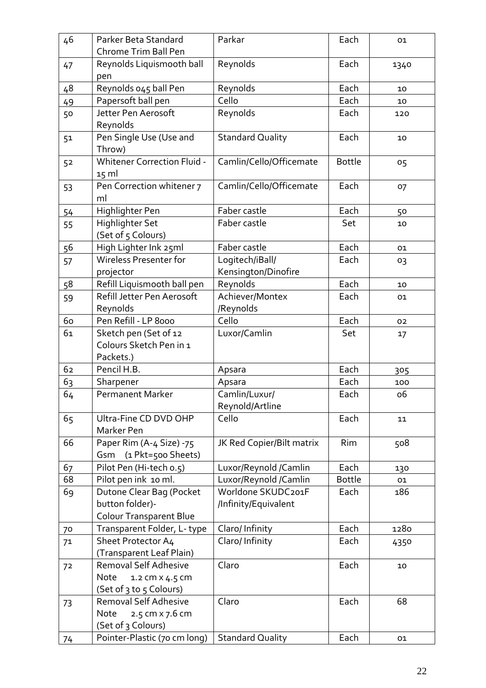| 46 | Parker Beta Standard<br>Chrome Trim Ball Pen                                  | Parkar                                     | Each          | 01        |
|----|-------------------------------------------------------------------------------|--------------------------------------------|---------------|-----------|
|    | Reynolds Liquismooth ball                                                     | Reynolds                                   | Each          |           |
| 47 | pen                                                                           |                                            |               | 1340      |
| 48 | Reynolds 045 ball Pen                                                         | Reynolds                                   | Each          | 10        |
| 49 | Papersoft ball pen                                                            | Cello                                      | Each          | 10        |
| 50 | Jetter Pen Aerosoft<br>Reynolds                                               | Reynolds                                   | Each          | 120       |
| 51 | Pen Single Use (Use and<br>Throw)                                             | <b>Standard Quality</b>                    | Each          | 10        |
| 52 | <b>Whitener Correction Fluid -</b><br>$15 \text{ ml}$                         | Camlin/Cello/Officemate                    | <b>Bottle</b> | 05        |
| 53 | Pen Correction whitener 7<br>ml                                               | Camlin/Cello/Officemate                    | Each          | 07        |
| 54 | Highlighter Pen                                                               | Faber castle                               | Each          | 50        |
| 55 | Highlighter Set<br>(Set of 5 Colours)                                         | Faber castle                               | Set           | 10        |
| 56 | High Lighter Ink 25ml                                                         | Faber castle                               | Each          | 01        |
| 57 | Wireless Presenter for<br>projector                                           | Logitech/iBall/<br>Kensington/Dinofire     | Each          | 03        |
| 58 | Refill Liquismooth ball pen                                                   | Reynolds                                   | Each          | 10        |
| 59 | Refill Jetter Pen Aerosoft                                                    | Achiever/Montex                            | Each          | 01        |
|    | Reynolds                                                                      | /Reynolds                                  |               |           |
| 60 | Pen Refill - LP 8000                                                          | Cello                                      | Each          | 02        |
| 61 | Sketch pen (Set of 12                                                         | Luxor/Camlin                               | Set           | 17        |
|    | Colours Sketch Pen in 1                                                       |                                            |               |           |
|    | Packets.)                                                                     |                                            |               |           |
| 62 | Pencil H.B.                                                                   | Apsara                                     | Each          | 305       |
| 63 | Sharpener                                                                     | Apsara                                     | Each          | 100       |
| 64 | <b>Permanent Marker</b>                                                       | Camlin/Luxur/<br>Reynold/Artline           | Each          | <b>06</b> |
| 65 | Ultra-Fine CD DVD OHP<br>Marker Pen                                           | Cello                                      | Each          | 11        |
| 66 | Paper Rim (A-4 Size) -75<br>Gsm<br>(1 Pkt=500 Sheets)                         | JK Red Copier/Bilt matrix                  | Rim           | 508       |
| 67 | Pilot Pen (Hi-tech o.5)                                                       | Luxor/Reynold /Camlin                      | Each          | 130       |
| 68 | Pilot pen ink 10 ml.                                                          | Luxor/Reynold /Camlin                      | <b>Bottle</b> | 01        |
| 69 | Dutone Clear Bag (Pocket<br>button folder)-<br><b>Colour Transparent Blue</b> | Worldone SKUDC201F<br>/Infinity/Equivalent | Each          | 186       |
| 70 | Transparent Folder, L-type                                                    | Claro/Infinity                             | Each          | 1280      |
| 71 | Sheet Protector A4                                                            | Claro/Infinity                             | Each          | 4350      |
|    | (Transparent Leaf Plain)                                                      |                                            |               |           |
| 72 | Removal Self Adhesive<br>1.2 cm x 4.5 cm<br>Note                              | Claro                                      | Each          | 10        |
|    | (Set of 3 to 5 Colours)                                                       |                                            |               |           |
| 73 | Removal Self Adhesive                                                         | Claro                                      | Each          | 68        |
|    | Note<br>2.5 cm x 7.6 cm                                                       |                                            |               |           |
|    | (Set of 3 Colours)                                                            |                                            |               |           |
| 74 | Pointer-Plastic (70 cm long)                                                  | <b>Standard Quality</b>                    | Each          | 01        |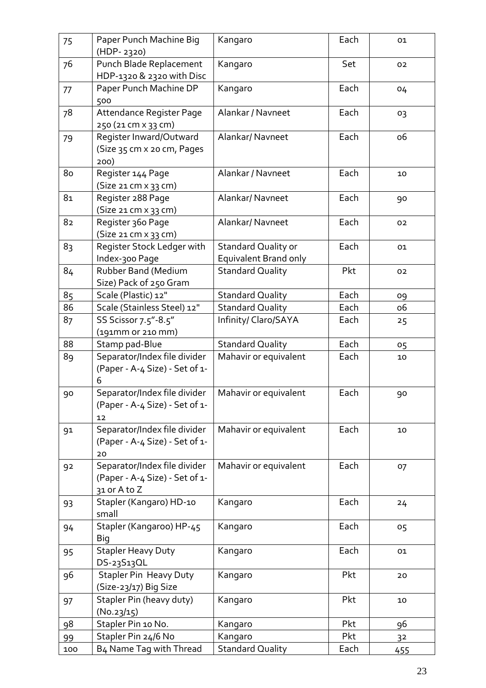| 75             | Paper Punch Machine Big                                                        | Kangaro                                             | Each | 01        |
|----------------|--------------------------------------------------------------------------------|-----------------------------------------------------|------|-----------|
|                | (HDP-2320)                                                                     |                                                     |      |           |
| 76             | Punch Blade Replacement<br>HDP-1320 & 2320 with Disc                           | Kangaro                                             | Set  | 02        |
| 77             | Paper Punch Machine DP<br>500                                                  | Kangaro                                             | Each | 04        |
| 78             | Attendance Register Page<br>250 (21 cm x 33 cm)                                | Alankar / Navneet                                   | Each | 03        |
| 79             | Register Inward/Outward<br>(Size 35 cm x 20 cm, Pages<br>200)                  | Alankar/ Navneet                                    | Each | <b>06</b> |
| 80             | Register 144 Page<br>(Size 21 cm x 33 cm)                                      | Alankar / Navneet                                   | Each | 10        |
| 81             | Register 288 Page<br>(Size 21 cm x 33 cm)                                      | Alankar/Navneet                                     | Each | 90        |
| 82             | Register 360 Page<br>(Size 21 cm x 33 cm)                                      | Alankar/ Navneet                                    | Each | 02        |
| 83             | Register Stock Ledger with<br>Index-300 Page                                   | <b>Standard Quality or</b><br>Equivalent Brand only | Each | 01        |
| 84             | Rubber Band (Medium<br>Size) Pack of 250 Gram                                  | <b>Standard Quality</b>                             | Pkt  | 02        |
| 85             | Scale (Plastic) 12"                                                            | <b>Standard Quality</b>                             | Each | 09        |
| 86             | Scale (Stainless Steel) 12"                                                    | <b>Standard Quality</b>                             | Each | <b>06</b> |
| 8 <sub>7</sub> | SS Scissor 7.5"-8.5"<br>(191mm or 210 mm)                                      | Infinity/ Claro/SAYA                                | Each | 25        |
| 88             | Stamp pad-Blue                                                                 | <b>Standard Quality</b>                             | Each | 05        |
| 89             | Separator/Index file divider<br>(Paper - A-4 Size) - Set of 1-<br>6            | Mahavir or equivalent                               | Each | 10        |
| 90             | Separator/Index file divider<br>(Paper - A-4 Size) - Set of 1-<br>12           | Mahavir or equivalent                               | Each | 90        |
| 91             | Separator/Index file divider<br>(Paper - A-4 Size) - Set of 1-<br>20           | Mahavir or equivalent                               | Each | 10        |
| 92             | Separator/Index file divider<br>(Paper - A-4 Size) - Set of 1-<br>31 or A to Z | Mahavir or equivalent                               | Each | 07        |
| 93             | Stapler (Kangaro) HD-10<br>small                                               | Kangaro                                             | Each | 24        |
| 94             | Stapler (Kangaroo) HP-45<br>Big                                                | Kangaro                                             | Each | 05        |
| 95             | <b>Stapler Heavy Duty</b><br>DS-23S13QL                                        | Kangaro                                             | Each | 01        |
| 96             | <b>Stapler Pin Heavy Duty</b><br>(Size-23/17) Big Size                         | Kangaro                                             | Pkt  | 20        |
| 97             | Stapler Pin (heavy duty)<br>(N0.23/15)                                         | Kangaro                                             | Pkt  | 10        |
| 98             | Stapler Pin 10 No.                                                             | Kangaro                                             | Pkt  | 96        |
| 99             | Stapler Pin 24/6 No                                                            | Kangaro                                             | Pkt  | 32        |
| 100            | B4 Name Tag with Thread                                                        | <b>Standard Quality</b>                             | Each | 455       |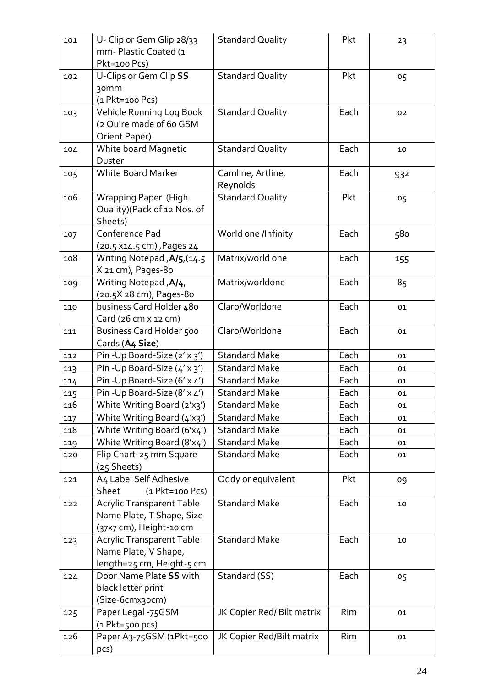|     |                                  |                            | Pkt  |                |
|-----|----------------------------------|----------------------------|------|----------------|
| 101 | U- Clip or Gem Glip 28/33        | <b>Standard Quality</b>    |      | 23             |
|     | mm-Plastic Coated (1             |                            |      |                |
|     | Pkt=100 Pcs)                     |                            |      |                |
| 102 | U-Clips or Gem Clip SS           | <b>Standard Quality</b>    | Pkt  | 05             |
|     | 30 <sub>mm</sub>                 |                            |      |                |
|     | (1 Pkt=100 Pcs)                  |                            |      |                |
| 103 | Vehicle Running Log Book         | <b>Standard Quality</b>    | Each | 02             |
|     | (2 Quire made of 6o GSM          |                            |      |                |
|     |                                  |                            |      |                |
|     | Orient Paper)                    |                            |      |                |
| 104 | White board Magnetic             | <b>Standard Quality</b>    | Each | 10             |
|     | Duster                           |                            |      |                |
| 105 | <b>White Board Marker</b>        | Camline, Artline,          | Each | 932            |
|     |                                  | Reynolds                   |      |                |
| 106 | <b>Wrapping Paper (High</b>      | <b>Standard Quality</b>    | Pkt  | 0 <sub>5</sub> |
|     | Quality)(Pack of 12 Nos. of      |                            |      |                |
|     | Sheets)                          |                            |      |                |
| 107 | Conference Pad                   | World one /Infinity        | Each | 580            |
|     | (20.5 x14.5 cm), Pages 24        |                            |      |                |
|     |                                  |                            |      |                |
| 108 | Writing Notepad, A/5, (14.5      | Matrix/world one           | Each | 155            |
|     | X 21 cm), Pages-80               |                            |      |                |
| 109 | Writing Notepad, A/4,            | Matrix/worldone            | Each | 85             |
|     | (20.5X 28 cm), Pages-80          |                            |      |                |
| 110 | business Card Holder 480         | Claro/Worldone             | Each | 01             |
|     | Card $(26 cm x 12 cm)$           |                            |      |                |
| 111 | Business Card Holder 500         | Claro/Worldone             | Each | 01             |
|     | Cards (A4 Size)                  |                            |      |                |
| 112 | Pin - Up Board-Size (2' x 3')    | <b>Standard Make</b>       | Each | 01             |
| 113 | Pin - Up Board-Size (4' x 3')    | <b>Standard Make</b>       | Each | 01             |
| 114 | Pin - Up Board-Size (6' x 4')    | <b>Standard Make</b>       | Each | 01             |
|     | Pin - Up Board-Size (8' x 4')    | <b>Standard Make</b>       | Each |                |
| 115 |                                  |                            |      | 01             |
| 116 | White Writing Board (2'x3')      | <b>Standard Make</b>       | Each | 01             |
| 117 | White Writing Board (4'x3')      | <b>Standard Make</b>       | Each | 01             |
| 118 | White Writing Board (6'x4')      | <b>Standard Make</b>       | Each | 01             |
| 119 | White Writing Board (8'x4')      | <b>Standard Make</b>       | Each | 01             |
| 120 | Flip Chart-25 mm Square          | <b>Standard Make</b>       | Each | 01             |
|     | (25 Sheets)                      |                            |      |                |
| 121 | A4 Label Self Adhesive           | Oddy or equivalent         | Pkt  | 09             |
|     | Sheet<br>$(1$ Pkt=100 Pcs)       |                            |      |                |
| 122 | <b>Acrylic Transparent Table</b> | <b>Standard Make</b>       | Each | 10             |
|     | Name Plate, T Shape, Size        |                            |      |                |
|     | (37x7 cm), Height-10 cm          |                            |      |                |
|     | <b>Acrylic Transparent Table</b> | <b>Standard Make</b>       | Each |                |
| 123 |                                  |                            |      | 10             |
|     | Name Plate, V Shape,             |                            |      |                |
|     | length=25 cm, Height-5 cm        |                            |      |                |
| 124 | Door Name Plate SS with          | Standard (SS)              | Each | 05             |
|     | black letter print               |                            |      |                |
|     | (Size-6cmx3ocm)                  |                            |      |                |
| 125 | Paper Legal -75GSM               | JK Copier Red/ Bilt matrix | Rim  | 01             |
|     | $(1$ Pkt=500 pcs)                |                            |      |                |
| 126 | Paper A3-75GSM (1Pkt=500         | JK Copier Red/Bilt matrix  | Rim  | 01             |
|     | pcs)                             |                            |      |                |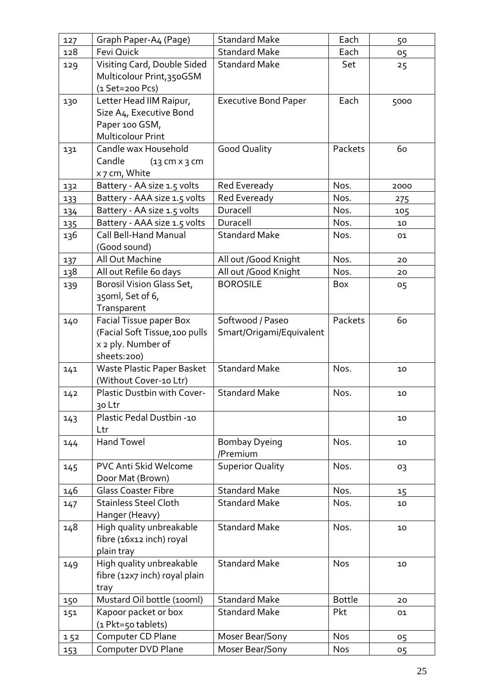| 127 | Graph Paper-A4 (Page)                                                                            | <b>Standard Make</b>                         | Each          | 50   |
|-----|--------------------------------------------------------------------------------------------------|----------------------------------------------|---------------|------|
| 128 | Fevi Quick                                                                                       | <b>Standard Make</b>                         | Each          | 05   |
| 129 | Visiting Card, Double Sided<br>Multicolour Print, 350GSM<br>$(1 Set = 200 PCs)$                  | <b>Standard Make</b>                         | Set           | 25   |
| 130 | Letter Head IIM Raipur,<br>Size A4, Executive Bond<br>Paper 100 GSM,<br><b>Multicolour Print</b> | <b>Executive Bond Paper</b>                  | Each          | 5000 |
| 131 | Candle wax Household<br>Candle<br>$(13$ cm $x$ 3 cm<br>x 7 cm, White                             | <b>Good Quality</b>                          | Packets       | 60   |
| 132 | Battery - AA size 1.5 volts                                                                      | Red Eveready                                 | Nos.          | 2000 |
| 133 | Battery - AAA size 1.5 volts                                                                     | Red Eveready                                 | Nos.          | 275  |
| 134 | Battery - AA size 1.5 volts                                                                      | Duracell                                     | Nos.          | 105  |
| 135 | Battery - AAA size 1.5 volts                                                                     | Duracell                                     | Nos.          | 10   |
| 136 | <b>Call Bell-Hand Manual</b><br>(Good sound)                                                     | <b>Standard Make</b>                         | Nos.          | 01   |
| 137 | All Out Machine                                                                                  | All out /Good Knight                         | Nos.          | 20   |
| 138 | All out Refile 6o days                                                                           | All out /Good Knight                         | Nos.          | 20   |
| 139 | Borosil Vision Glass Set,<br>350ml, Set of 6,<br>Transparent                                     | <b>BOROSILE</b>                              | Box           | 05   |
| 140 | Facial Tissue paper Box<br>(Facial Soft Tissue, 100 pulls<br>x 2 ply. Number of<br>sheets:200)   | Softwood / Paseo<br>Smart/Origami/Equivalent | Packets       | 60   |
| 141 | Waste Plastic Paper Basket<br>(Without Cover-10 Ltr)                                             | <b>Standard Make</b>                         | Nos.          | 10   |
| 142 | Plastic Dustbin with Cover-<br>30 Ltr                                                            | <b>Standard Make</b>                         | Nos.          | 10   |
| 143 | Plastic Pedal Dustbin -10<br>Ltr                                                                 |                                              |               | 10   |
| 144 | <b>Hand Towel</b>                                                                                | Bombay Dyeing<br>/Premium                    | Nos.          | 10   |
| 145 | PVC Anti Skid Welcome<br>Door Mat (Brown)                                                        | <b>Superior Quality</b>                      | Nos.          | 03   |
| 146 | <b>Glass Coaster Fibre</b>                                                                       | <b>Standard Make</b>                         | Nos.          | 15   |
| 147 | <b>Stainless Steel Cloth</b><br>Hanger (Heavy)                                                   | <b>Standard Make</b>                         | Nos.          | 10   |
| 148 | High quality unbreakable<br>fibre (16x12 inch) royal<br>plain tray                               | <b>Standard Make</b>                         | Nos.          | 10   |
| 149 | High quality unbreakable<br>fibre (12x7 inch) royal plain<br>tray                                | <b>Standard Make</b>                         | <b>Nos</b>    | 10   |
| 150 | Mustard Oil bottle (100ml)                                                                       | <b>Standard Make</b>                         | <b>Bottle</b> | 20   |
| 151 | Kapoor packet or box<br>(1 Pkt=50 tablets)                                                       | <b>Standard Make</b>                         | Pkt           | 01   |
| 152 | Computer CD Plane                                                                                | Moser Bear/Sony                              | <b>Nos</b>    | 05   |
| 153 | Computer DVD Plane                                                                               | Moser Bear/Sony                              | <b>Nos</b>    | 05   |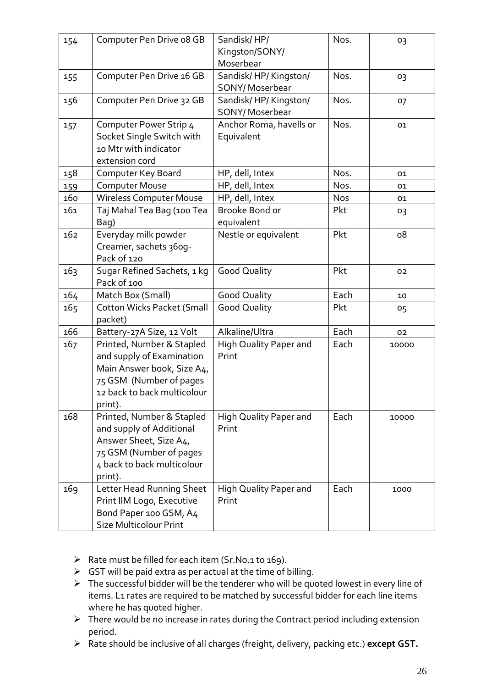| 154 | Computer Pen Drive o8 GB                                                                                                                                  | Sandisk/HP/<br>Kingston/SONY/<br>Moserbear | Nos.       | 03    |
|-----|-----------------------------------------------------------------------------------------------------------------------------------------------------------|--------------------------------------------|------------|-------|
| 155 | Computer Pen Drive 16 GB                                                                                                                                  | Sandisk/HP/Kingston/<br>SONY/Moserbear     | Nos.       | 03    |
| 156 | Computer Pen Drive 32 GB                                                                                                                                  | Sandisk/HP/Kingston/<br>SONY/Moserbear     | Nos.       | 07    |
| 157 | Computer Power Strip 4<br>Socket Single Switch with<br>10 Mtr with indicator<br>extension cord                                                            | Anchor Roma, havells or<br>Equivalent      | Nos.       | 01    |
| 158 | Computer Key Board                                                                                                                                        | HP, dell, Intex                            | Nos.       | 01    |
| 159 | <b>Computer Mouse</b>                                                                                                                                     | HP, dell, Intex                            | Nos.       | 01    |
| 160 | <b>Wireless Computer Mouse</b>                                                                                                                            | HP, dell, Intex                            | <b>Nos</b> | 01    |
| 161 | Taj Mahal Tea Bag (100 Tea<br>Bag)                                                                                                                        | Brooke Bond or<br>equivalent               | Pkt        | 03    |
| 162 | Everyday milk powder<br>Creamer, sachets 360g-<br>Pack of 120                                                                                             | Nestle or equivalent                       | Pkt        | 08    |
| 163 | Sugar Refined Sachets, 1 kg<br>Pack of 100                                                                                                                | <b>Good Quality</b>                        | Pkt        | 02    |
| 164 | Match Box (Small)                                                                                                                                         | <b>Good Quality</b>                        | Each       | 10    |
| 165 | <b>Cotton Wicks Packet (Small</b><br>packet)                                                                                                              | <b>Good Quality</b>                        | Pkt        | 05    |
| 166 | Battery-27A Size, 12 Volt                                                                                                                                 | Alkaline/Ultra                             | Each       | 02    |
| 167 | Printed, Number & Stapled<br>and supply of Examination<br>Main Answer book, Size A4,<br>75 GSM (Number of pages<br>12 back to back multicolour<br>print). | High Quality Paper and<br>Print            | Each       | 10000 |
| 168 | Printed, Number & Stapled<br>and supply of Additional<br>Answer Sheet, Size A4,<br>75 GSM (Number of pages<br>4 back to back multicolour<br>print).       | High Quality Paper and<br>Print            | Each       | 10000 |
| 169 | Letter Head Running Sheet<br>Print IIM Logo, Executive<br>Bond Paper 100 GSM, A4<br>Size Multicolour Print                                                | High Quality Paper and<br>Print            | Each       | 1000  |

- ➢ Rate must be filled for each item (Sr.No.1 to 169).
- $\triangleright$  GST will be paid extra as per actual at the time of billing.
- ➢ The successful bidder will be the tenderer who will be quoted lowest in every line of items. L1 rates are required to be matched by successful bidder for each line items where he has quoted higher.
- ➢ There would be no increase in rates during the Contract period including extension period.
- ➢ Rate should be inclusive of all charges (freight, delivery, packing etc.) **except GST.**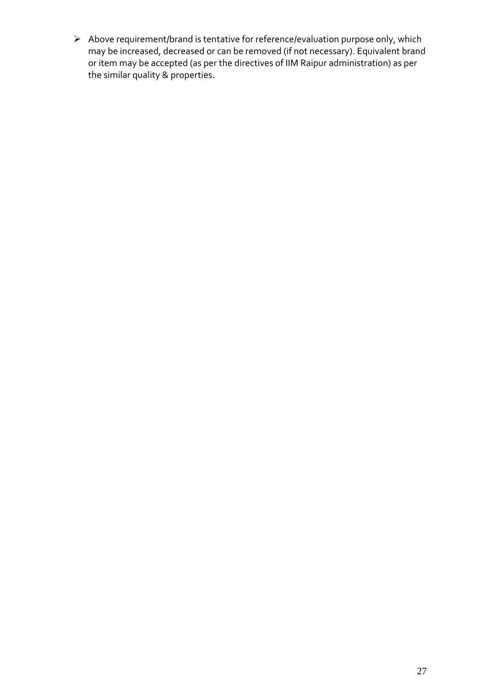➢ Above requirement/brand is tentative for reference/evaluation purpose only, which may be increased, decreased or can be removed (if not necessary). Equivalent brand or item may be accepted (as per the directives of IIM Raipur administration) as per the similar quality & properties.